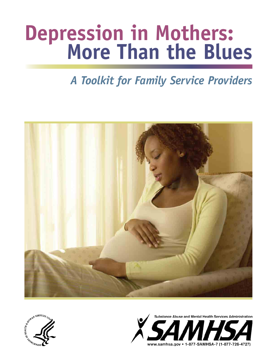# **Depression in Mothers: More Than the Blues**

## *A Toolkit for Family Service Providers*





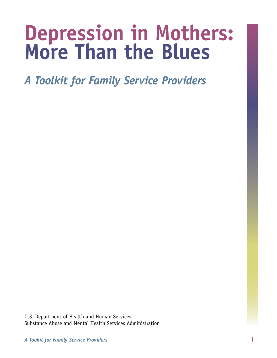## **Depression in Mothers: More Than the Blues**

*A Toolkit for Family Service Providers* 

U.S. Department of Health and Human Services Substance Abuse and Mental Health Services Administration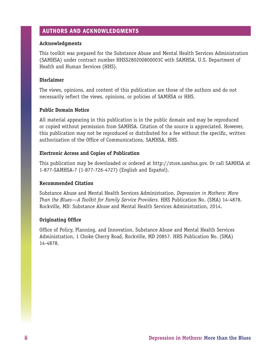#### AUTHORS AND ACKNOWLEDGMENTS

#### **Acknowledgments**

This toolkit was prepared for the Substance Abuse and Mental Health Services Administration (SAMHSA) under contract number HHSS280200800003C with SAMHSA, U.S. Department of Health and Human Services (HHS).

#### **Disclaimer**

The views, opinions, and content of this publication are those of the authors and do not necessarily reflect the views, opinions, or policies of SAMHSA or HHS.

#### **Public Domain Notice**

All material appearing in this publication is in the public domain and may be reproduced or copied without permission from SAMHSA. Citation of the source is appreciated. However, this publication may not be reproduced or distributed for a fee without the specific, written authorization of the Office of Communications, SAMHSA, HHS.

#### **Electronic Access and Copies of Publication**

This publication may be downloaded or ordered at http://store.samhsa.gov. Or call SAMHSA at 1-877-SAMHSA-7 (1-877-726-4727) (English and Español).

#### **Recommended Citation**

Substance Abuse and Mental Health Services Administration. *Depression in Mothers: More Than the Blues—A Toolkit for Family Service Providers.* HHS Publication No. (SMA) 14-4878. Rockville, MD: Substance Abuse and Mental Health Services Administration, 2014.

#### **Originating Office**

Office of Policy, Planning, and Innovation, Substance Abuse and Mental Health Services Administration, 1 Choke Cherry Road, Rockville, MD 20857. HHS Publication No. (SMA) 14-4878.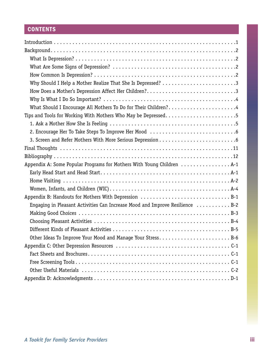### **CONTENTS**

| Why Should I Help a Mother Realize That She Is Depressed? 3                  |
|------------------------------------------------------------------------------|
| How Does a Mother's Depression Affect Her Children?3                         |
|                                                                              |
| What Should I Encourage All Mothers To Do for Their Children?4               |
| Tips and Tools for Working With Mothers Who May be Depressed5                |
|                                                                              |
|                                                                              |
|                                                                              |
|                                                                              |
|                                                                              |
| Appendix A: Some Popular Programs for Mothers With Young Children  A-1       |
|                                                                              |
|                                                                              |
|                                                                              |
| Appendix B: Handouts for Mothers With Depression B-1                         |
| Engaging in Pleasant Activities Can Increase Mood and Improve Resilience B-2 |
|                                                                              |
|                                                                              |
|                                                                              |
| Other Ideas To Improve Your Mood and Manage Your Stress B-6                  |
|                                                                              |
|                                                                              |
|                                                                              |
|                                                                              |
|                                                                              |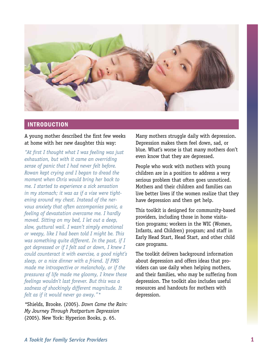<span id="page-6-0"></span>

#### IntroductIon

#### A young mother described the first few weeks at home with her new daughter this way:

*"At first I thought what I was feeling was just exhaustion, but with it came an overriding sense of panic that I had never felt before. Rowan kept crying and I began to dread the moment when Chris would bring her back to me. I started to experience a sick sensation in my stomach; it was as if a vise were tightening around my chest. Instead of the nervous anxiety that often accompanies panic, a feeling of devastation overcame me. I hardly moved. Sitting on my bed, I let out a deep, slow, guttural wail. I wasn't simply emotional or weepy, like I had been told I might be. This was something quite different. In the past, if I got depressed or if I felt sad or down, I knew I could counteract it with exercise, a good night's sleep, or a nice dinner with a friend. If PMS made me introspective or melancholy, or if the pressures of life made me gloomy, I knew these feelings wouldn't last forever. But this was a sadness of shockingly different magnitude. It felt as if it would never go away."\** 

*\**Shields, Brooke. (2005). *Down Came the Rain: My Journey Through Postpartum Depression*  (2005). New York: Hyperion Books, p. 65.

Many mothers struggle daily with depression. Depression makes them feel down, sad, or blue. What's worse is that many mothers don't even know that they are depressed.

People who work with mothers with young children are in a position to address a very serious problem that often goes unnoticed. Mothers and their children and families can live better lives if the women realize that they have depression and then get help.

This toolkit is designed for community-based providers, including those in home visitation programs; workers in the WIC (Women, Infants, and Children) program; and staff in Early Head Start, Head Start, and other child care programs.

The toolkit delivers background information about depression and offers ideas that providers can use daily when helping mothers, and their families, who may be suffering from depression. The toolkit also includes useful resources and handouts for mothers with depression.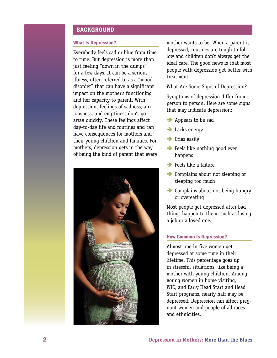#### <span id="page-7-0"></span>**BACKGROUND**

Everybody feels sad or blue from time to time. But depression is more than just feeling "down in the dumps" for a few days. It can be a serious illness, often referred to as a "mood disorder" that can have a significant impact on the mother's functioning and her capacity to parent. With depression, feelings of sadness, anxiousness, and emptiness don't go away quickly. These feelings affect day-to-day life and routines and can have consequences for mothers and their young children and families. For mothers, depression gets in the way of being the kind of parent that every



What Is Depression? The mother wants to be. When a parent is depressed, routines are tough to follow and children don't always get the ideal care. The good news is that most people with depression get better with treatment.

What Are Some Signs of Depression?

Symptoms of depression differ from person to person. Here are some signs that may indicate depression:

- Appears to be sad
- $\rightarrow$  Lacks energy
- $\rightarrow$  Cries easily
- **Feels like nothing good ever** happens
- $\rightarrow$  Feels like a failure
- **•** Complains about not sleeping or sleeping too much
- **•** Complains about not being hungry or overeating

Most people get depressed after bad things happen to them, such as losing a job or a loved one.

#### **How Common Is Depression?**

Almost one in five women get depressed at some time in their lifetime. This percentage goes up in stressful situations, like being a mother with young children. Among young women in home visiting, WIC, and Early Head Start and Head Start programs, nearly half may be depressed. Depression can affect pregnant women and people of all races and ethnicities.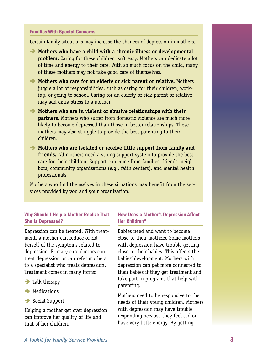#### <span id="page-8-0"></span>Families with special concerns

Certain family situations may increase the chances of depression in mothers.

- **Mothers who have a child with a chronic illness or developmental problem.** Caring for these children isn't easy. Mothers can dedicate a lot of time and energy to their care. With so much focus on the child, many of these mothers may not take good care of themselves.
- **Mothers who care for an elderly or sick parent or relative.** Mothers juggle a lot of responsibilities, such as caring for their children, work ing, or going to school. Caring for an elderly or sick parent or relative may add extra stress to a mother.  $\ddot{\phantom{0}}$
- **Mothers who are in violent or abusive relationships with their partners.** Mothers who suffer from domestic violence are much more likely to become depressed than those in better relationships. These mothers may also struggle to provide the best parenting to their children.
- **Mothers who are isolated or receive little support from family and friends.** All mothers need a strong support system to provide the best care for their children. Support can come from families, friends, neigh bors, community organizations (e.g., faith centers), and mental health professionals.  $\ddot{\phantom{0}}$

Mothers who find themselves in these situations may benefit from the services provided by you and your organization.

#### Why Should I Help a Mother Realize That She Is Depressed?

Depression can be treated. With treatment, a mother can reduce or rid herself of the symptoms related to depression. Primary care doctors can treat depression or can refer mothers to a specialist who treats depression. Treatment comes in many forms:

- $\rightarrow$  Talk therapy
- **A** Medications
- Social Support

Helping a mother get over depression can improve her quality of life and that of her children.

#### **How Does a Mother's Depression Affect** her children?

Babies need and want to become close to their mothers. Some mothers with depression have trouble getting close to their babies. This affects the babies' development. Mothers with depression can get more connected to their babies if they get treatment and take part in programs that help with parenting.

Mothers need to be responsive to the needs of their young children. Mothers with depression may have trouble responding because they feel sad or have very little energy. By getting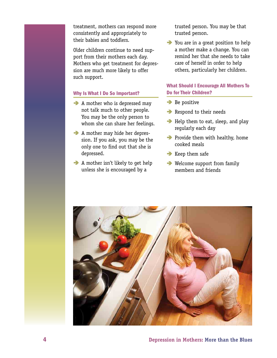<span id="page-9-0"></span>treatment, mothers can respond more consistently and appropriately to their babies and toddlers.

Older children continue to need support from their mothers each day. Mothers who get treatment for depression are much more likely to offer such support.

#### Why Is What I Do So Important?

- $\rightarrow$  A mother who is depressed may not talk much to other people. You may be the only person to whom she can share her feelings.
- â A mother may hide her depres sion. If you ask, you may be the only one to find out that she is depressed. ֚֡֕
- $\rightarrow$  A mother isn't likely to get help unless she is encouraged by a

trusted person. You may be that trusted person.

 $\rightarrow$  You are in a great position to help a mother make a change. You can remind her that she needs to take care of herself in order to help others, particularly her children.

#### What Should I Encourage All Mothers To Do for Their Children?

- $\rightarrow$  Be positive
- Respond to their needs
- Help them to eat, sleep, and play regularly each day
- **•** Provide them with healthy, home cooked meals
- $\rightarrow$  Keep them safe
- **■** Welcome support from family members and friends

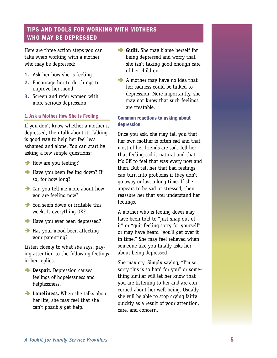#### <span id="page-10-0"></span>**TIPS AND TOOLS FOR WORKING WITH MOTHERS** WHO MAY BE DEPRESSED

Here are three action steps you can take when working with a mother who may be depressed:

- 1. Ask her how she is feeling
- 2. Encourage her to do things to improve her mood
- **3.** Screen and refer women with more serious depression

#### 1. Ask a mother how she Is Feeling

If you don't know whether a mother is depressed, then talk about it. Talking is good way to help her feel less ashamed and alone. You can start by asking a few simple questions:

- **B** How are you feeling?
- â Have you been feeling down? If so, for how long?
- Can you tell me more about how you are feeling now?
- You seem down or irritable this week. Is everything OK?
- â Have you ever been depressed?
- **Has your mood been affecting** your parenting?

Listen closely to what she says, paying attention to the following feelings in her replies:

- **Despair.** Depression causes feelings of hopelessness and helplessness.
- **Exercise 2 Loneliness.** When she talks about her life, she may feel that she can't possibly get help.
- **Guilt.** She may blame herself for being depressed and worry that she isn't taking good enough care of her children.
- A mother may have no idea that her sadness could be linked to depression. More importantly, she may not know that such feelings are treatable.

#### common reactions to asking about depression

Once you ask, she may tell you that her own mother is often sad and that most of her friends are sad. Tell her that feeling sad is natural and that it's OK to feel that way every now and then. But tell her that bad feelings can turn into problems if they don't go away or last a long time. If she appears to be sad or stressed, then reassure her that you understand her feelings.

A mother who is feeling down may have been told to "just snap out of it" or "quit feeling sorry for yourself" or may have heard "you'll get over it in time." She may feel relieved when someone like you finally asks her about being depressed.

She may cry. Simply saying, "I'm so sorry this is so hard for you" or something similar will let her know that you are listening to her and are concerned about her well-being. Usually, she will be able to stop crying fairly quickly as a result of your attention, care, and concern.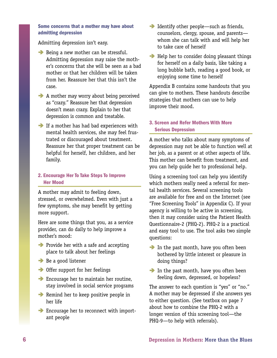#### <span id="page-11-0"></span>some concerns that a mother may have about admitting depression

Admitting depression isn't easy.

- Being a new mother can be stressful. Admitting depression may raise the moth er's concerns that she will be seen as a bad mother or that her children will be taken from her. Reassure her that this isn't the case.  $\ddot{\phantom{0}}$
- A mother may worry about being perceived as "crazy." Reassure her that depression doesn't mean crazy. Explain to her that depression is common and treatable.
- **If a mother has had bad experiences with** mental health services, she may feel frus trated or discouraged about treatment. Reassure her that proper treatment can be helpful for herself, her children, and her family.  $\overline{a}$

#### 2. Encourage Her To Take Steps To Improve **Her Mood**

A mother may admit to feeling down, stressed, or overwhelmed. Even with just a few symptoms, she may benefit by getting more support.

Here are some things that you, as a service provider, can do daily to help improve a mother's mood:

- **•** Provide her with a safe and accepting place to talk about her feelings
- **■** Be a good listener
- Offer support for her feelings
- â Encourage her to maintain her routine, stay involved in social service programs
- **•** Remind her to keep positive people in her life
- â Encourage her to reconnect with import ant people  $\ddot{\phantom{0}}$
- **Identify other people—such as friends,** counselors, clergy, spouse, and parents whom she can talk with and will help her to take care of herself
- $\rightarrow$  Help her to consider doing pleasant things for herself on a daily basis, like taking a long bubble bath, reading a good book, or enjoying some time to herself

Appendix B contains some handouts that you can give to mothers. These handouts describe strategies that mothers can use to help improve their mood.

#### 3. Screen and Refer Mothers With More **Serious Depression**

A mother who talks about many symptoms of depression may not be able to function well at her job, as a parent or at other aspects of life. This mother can benefit from treatment, and you can help guide her to professional help.

Using a screening tool can help you identify which mothers really need a referral for mental health services. Several screening tools are available for free and on the Internet (see "Free Screening Tools" in Appendix C). If your agency is willing to be active in screening, then it may consider using the Patient Health Questionnaire-2 (PHQ-2). PHQ-2 is a practical and easy tool to use. The tool asks two simple questions:

- In the past month, have you often been bothered by little interest or pleasure in doing things?
- In the past month, have you often been feeling down, depressed, or hopeless?

The answer to each question is "yes" or "no." A mother may be depressed if she answers yes to either question. (See textbox on page 7 about how to combine the PHQ-2 with a longer version of this screening tool—the PHQ-9—to help with referrals).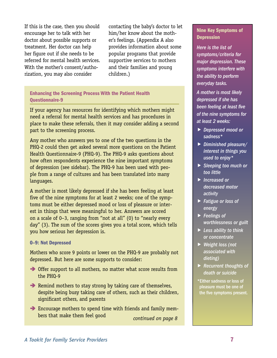If this is the case, then you should contacting the baby's doctor to let encourage her to talk with her him/her know about the mothdoctor about possible supports or er's feelings. (Appendix A also treatment. Her doctor can help provides information about some her figure out if she needs to be popular programs that provide referred for mental health services. supportive services to mothers With the mother's consent/autho- and their families and young rization, you may also consider children.)

#### **Enhancing the Screening Process With the Patient Health** Questionnaire-9

If your agency has resources for identifying which mothers might need a referral for mental health services and has procedures in place to make these referrals, then it may consider adding a second part to the screening process.

Any mother who answers yes to one of the two questions in the PHQ-2 could then get asked several more questions on the Patient Health Questionnaire-9 (PHQ-9). The PHQ-9 asks questions about how often respondents experience the nine important symptoms of depression (see sidebar). The PHQ-9 has been used with people from a range of cultures and has been translated into many languages.

A mother is most likely depressed if she has been feeling at least five of the nine symptoms for at least 2 weeks; one of the symptoms must be either depressed mood or loss of pleasure or interest in things that were meaningful to her. Answers are scored on a scale of 0–3, ranging from "not at all" (0) to "nearly every day" (3). The sum of the scores gives you a total score, which tells you how serious her depression is.

#### 0-9: Not Depressed

Mothers who score 9 points or lower on the PHQ-9 are probably not depressed. But here are some supports to consider:

- → Offer support to all mothers, no matter what score results from the PHQ-9
- **■** Remind mothers to stay strong by taking care of themselves, despite being busy taking care of others, such as their children, significant others, and parents
- → Encourage mothers to spend time with friends and family mem bers that make them feel good *continued on page 8*  ֚֚֡

#### Nine Key Symptoms of **Depression**

*Here is the list of symptoms/criteria for major depression. These symptoms interfere with the ability to perform everyday tasks.* 

*A mother is most likely depressed if she has been feeling at least five of the nine symptoms for at least 2 weeks:* 

- *Depressed mood or sadness\**
- *Diminished pleasure/ interest in things you used to enjoy\**
- *Sleeping too much or too little*
- *Increased or decreased motor activity*
- *Fatigue or loss of energy*
- *Feelings of worthlessness or guilt*
- *Less ability to think or concentrate*
- *Weight loss (not associated with dieting)*
- *Recurrent thoughts of death or suicide*
- \*Either sadness or loss of pleasure must be one of the five symptoms present.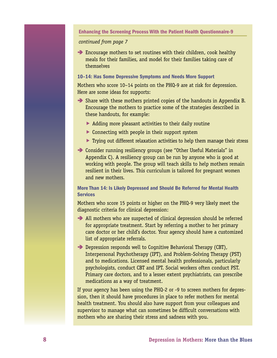#### enhancing the screening process with the patient health Questionnaire-9

#### *continued from page 7*

â Encourage mothers to set routines with their children, cook healthy meals for their families, and model for their families taking care of themselves

#### 10-14: Has Some Depressive Symptoms and Needs More Support

Mothers who score 10–14 points on the PHQ-9 are at risk for depression. Here are some ideas for supports:

- Share with these mothers printed copies of the handouts in Appendix B. Encourage the mothers to practice some of the strategies described in these handouts, for example:
	- $\triangleright$  Adding more pleasant activities to their daily routine
	- ▶ Connecting with people in their support system
	- $\triangleright$  Trying out different relaxation activities to help them manage their stress
- Consider running resiliency groups (see "Other Useful Materials" in Appendix C). A resiliency group can be run by anyone who is good at working with people. The group will teach skills to help mothers remain resilient in their lives. This curriculum is tailored for pregnant women and new mothers.

#### More Than 14: Is Likely Depressed and Should Be Referred for Mental Health **Services**

Mothers who score 15 points or higher on the PHQ-9 very likely meet the diagnostic criteria for clinical depression:

- All mothers who are suspected of clinical depression should be referred for appropriate treatment. Start by referring a mother to her primary care doctor or her child's doctor. Your agency should have a customized list of appropriate referrals.
- **Depression responds well to Cognitive Behavioral Therapy (CBT),** Interpersonal Psychotherapy (IPT), and Problem-Solving Therapy (PST) and to medications. Licensed mental health professionals, particularly psychologists, conduct CBT and IPT. Social workers often conduct PST. Primary care doctors, and to a lesser extent psychiatrists, can prescribe medications as a way of treatment.

If your agency has been using the PHQ-2 or -9 to screen mothers for depression, then it should have procedures in place to refer mothers for mental health treatment. You should also have support from your colleagues and supervisor to manage what can sometimes be difficult conversations with mothers who are sharing their stress and sadness with you.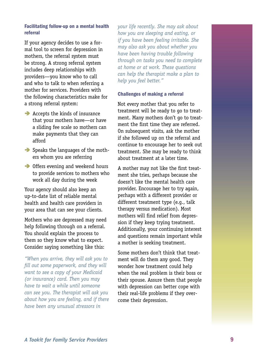#### Facilitating follow-up on a mental health referral

If your agency decides to use a formal tool to screen for depression in mothers, the referral system must be strong. A strong referral system includes deep relationships with providers—you know who to call and who to talk to when referring a mother for services. Providers with the following characteristics make for a strong referral system:

- Accepts the kinds of insurance that your mothers have—or have a sliding fee scale so mothers can make payments that they can afford
- Speaks the languages of the mothers whom you are referring
- **•** Offers evening and weekend hours to provide services to mothers who work all day during the week

Your agency should also keep an up-to-date list of reliable mental health and health care providers in your area that can see your clients.

Mothers who are depressed may need help following through on a referral. You should explain the process to them so they know what to expect. Consider saying something like this:

*"When you arrive, they will ask you to fill out some paperwork, and they will want to see a copy of your Medicaid (or insurance) card. Then you may have to wait a while until someone can see you. The therapist will ask you about how you are feeling, and if there have been any unusual stressors in* 

*your life recently. She may ask about how you are sleeping and eating, or if you have been feeling irritable. She may also ask you about whether you have been having trouble following through on tasks you need to complete at home or at work. These questions can help the therapist make a plan to help you feel better."* 

#### challenges of making a referral

Not every mother that you refer to treatment will be ready to go to treatment. Many mothers don't go to treatment the first time they are referred. On subsequent visits, ask the mother if she followed up on the referral and continue to encourage her to seek out treatment. She may be ready to think about treatment at a later time.

A mother may not like the first treatment she tries, perhaps because she doesn't like the mental health care provider. Encourage her to try again, perhaps with a different provider or different treatment type (e.g., talk therapy versus medication). Most mothers will find relief from depression if they keep trying treatment. Additionally, your continuing interest and questions remain important while a mother is seeking treatment.

Some mothers don't think that treatment will do them any good. They wonder how treatment could help when the real problem is their boss or their spouse. Assure them that people with depression can better cope with their real-life problems if they overcome their depression.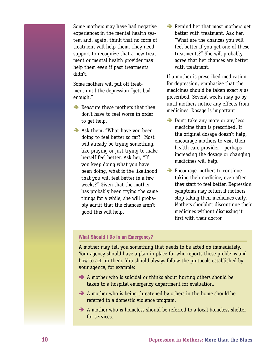Some mothers may have had negative experiences in the mental health system and, again, think that no form of treatment will help them. They need support to recognize that a new treatment or mental health provider may help them even if past treatments didn't.

Some mothers will put off treatment until the depression "gets bad enough."

- Reassure these mothers that they don't have to feel worse in order to get help.
- Ask them, "What have you been doing to feel better so far?" Most will already be trying something, like praying or just trying to make herself feel better. Ask her, "If you keep doing what you have been doing, what is the likelihood that you will feel better in a few weeks?" Given that the mother has probably been trying the same things for a while, she will probably admit that the chances aren't good this will help.

 $\rightarrow$  Remind her that most mothers get better with treatment. Ask her, "What are the chances you will feel better if you get one of these treatments?" She will probably agree that her chances are better with treatment.

If a mother is prescribed medication for depression, emphasize that the medicines should be taken exactly as prescribed. Several weeks may go by until mothers notice any effects from medicines. Dosage is important.

- Don't take any more or any less medicine than is prescribed. If the original dosage doesn't help, encourage mothers to visit their health care provider—perhaps increasing the dosage or changing medicines will help.
- â Encourage mothers to continue taking their medicine, even after they start to feel better. Depression symptoms may return if mothers stop taking their medicines early. Mothers shouldn't discontinue their medicines without discussing it first with their doctor.

#### What Should I Do in an Emergency?

A mother may tell you something that needs to be acted on immediately. Your agency should have a plan in place for who reports these problems and how to act on them. You should always follow the protocols established by your agency, for example:

- $\rightarrow$  A mother who is suicidal or thinks about hurting others should be taken to a hospital emergency department for evaluation.
- A mother who is being threatened by others in the home should be referred to a domestic violence program.
- A mother who is homeless should be referred to a local homeless shelter for services.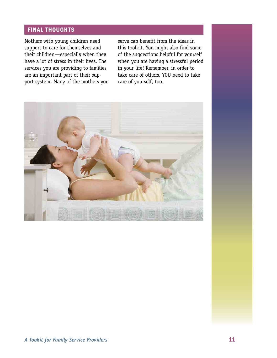#### <span id="page-16-0"></span>FINAL THOUGHTS

Mothers with young children need support to care for themselves and their children—especially when they have a lot of stress in their lives. The services you are providing to families are an important part of their support system. Many of the mothers you

serve can benefit from the ideas in this toolkit. You might also find some of the suggestions helpful for yourself when you are having a stressful period in your life! Remember, in order to take care of others, YOU need to take care of yourself, too.

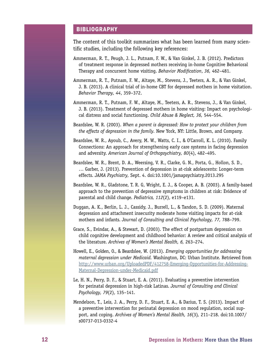#### <span id="page-17-0"></span>**BIBLIOGRAPHY**

The content of this toolkit summarizes what has been learned from many scientific studies, including the following key references:

- Ammerman, R. T., Peugh, J. L., Putnam, F. W., & Van Ginkel, J. B. (2012). Predictors of treatment response in depressed mothers receiving in-home Cognitive Behavioral Therapy and concurrent home visiting. *Behavior Modification*, *36,* 462–481.
- Ammerman, R. T., Putnam, F. W., Altaye, M., Stevens, J., Teeters, A. R., & Van Ginkel, J. B. (2013). A clinical trial of in-home CBT for depressed mothers in home visitation. *Behavior Therapy, 44*, 359–372.
- Ammerman, R. T., Putnam, F. W., Altaye, M., Teeters, A. R., Stevens, J., & Van Ginkel, J. B. (2013). Treatment of depressed mothers in home visiting: Impact on psychological distress and social functioning. *Child Abuse & Neglect, 36,* 544–554.
- Beardslee, W. R. (2003). *When a parent is depressed: How to protect your children from the effects of depression in the family.* New York, NY: Little, Brown, and Company.
- Beardslee, W. R., Ayoub, C., Avery, M. W., Watts, C. I., & O'Carroll, K. L. (2010). Family Connections: An approach for strengthening early care systems in facing depression and adversity. *American Journal of Orthopsychiatry, 80*(4), 482–495.
- Beardslee, W. R., Brent, D. A., Weersing, V. R., Clarke, G. N., Porta, G., Hollon, S. D., … Garber, J. (2013). Prevention of depression in at-risk adolescents: Longer-term effects. *JAMA Psychiatry,* Sept. 4. doi:10.1001/jamapsychiatry.2013.295
- Beardslee, W. R., Gladstone, T. R. G, Wright, E. J., & Cooper, A. B. (2003). A family-based approach to the prevention of depressive symptoms in children at risk: Evidence of parental and child change. *Pediatrics, 112*(2), e119–e131.
- Duggan, A. K., Berlin, L. J., Cassidy, J., Burrell, L., & Tandon, S. D. (2009). Maternal depression and attachment insecurity moderate home visiting impacts for at-risk mothers and infants. *Journal of Consulting and Clinical Psychology, 77,* 788–799.
- Grace, S., Evindar, A., & Stewart, D. (2003). The effect of postpartum depression on child cognitive development and childhood behavior: A review and critical analysis of the literature. *Archives of Women's Mental Health, 6,* 263–274.
- Howell, E., Golden, O., & Beardslee, W. (2013). *Emerging opportunities for addressing maternal depression under Medicaid.* Washington, DC: Urban Institute. Retrieved from [http://www.urban.org/UploadedPDF/412758-Emerging-Opportunities-for-Addressing-](http://www.urban.org/UploadedPDF/412758-Emerging-Opportunities-for-Addressing-Maternal-Depression-under-Medicaid.pdf)[Maternal-Depression-under-Medicaid.pdf](http://www.urban.org/UploadedPDF/412758-Emerging-Opportunities-for-Addressing-Maternal-Depression-under-Medicaid.pdf)
- Le, H. N., Perry, D. F., & Stuart, E. A. (2011). Evaluating a preventive intervention for perinatal depression in high-risk Latinas. *Journal of Consulting and Clinical Psychology, 79*(2), 135–141.
- Mendelson, T., Leis, J. A., Perry, D. F., Stuart, E. A., & Darius, T. S. (2013). Impact of a preventive intervention for perinatal depression on mood regulation, social support, and coping. *Archives of Women's Mental Health, 16*(3)*,* 211–218. doi:10.1007/ s00737-013-0332-4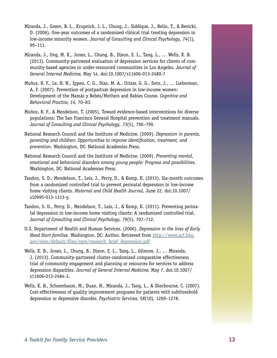- Miranda, J., Green, B. L., Krupnick, J. L., Chung, J., Siddique, J., Belin, T., & Revicki, D. (2006). One-year outcomes of a randomized clinical trial treating depression in low-income minority women. *Journal of Consulting and Clinical Psychology, 74*(1), 99–111.
- Miranda, J., Ong, M. K., Jones, L., Chung, B., Dixon, E. L., Tang, L., … Wells, K. B. (2013). Community-partnered evaluation of depression services for clients of community-based agencies in under-resourced communities in Los Angeles. *Journal of General Internal Medicine,* May 14. doi:10.1007/s11606-013-2480-7
- Muñoz, R. F., Le, H. N., Ippen, C. G., Diaz, M. A., Urizar, G. G., Soto, J., … Lieberman, A. F. (2007). Prevention of postpartum depression in low-income women: Development of the Mamás y Bebés/Mothers and Babies Course. *Cognitive and Behavioral Practice, 14,* 70–83.
- Muñoz, R. F., & Mendelson, T. (2005). Toward evidence-based interventions for diverse populations: The San Francisco General Hospital prevention and treatment manuals. *Journal of Consulting and Clinical Psychology, 73*(5), 790–799.
- National Research Council and the Institute of Medicine. (2009). *Depression in parents, parenting and children: Opportunities to improve identification, treatment, and prevention.* Washington, DC: National Academies Press.
- National Research Council and the Institute of Medicine. (2009). *Preventing mental, emotional and behavioral disorders among young people: Progress and possibilities.*  Washington, DC: National Academies Press.
- Tandon, S. D., Mendelson, T., Leis, J., Perry, D., & Kemp, K. (2013). Six-month outcomes from a randomized controlled trial to prevent perinatal depression in low-income home visiting clients. *Maternal and Child Health Journal,* June 22. doi:10.1007/ s10995-013-1313-y.
- Tandon, S. D., Perry, D., Mendelson, T., Leis, J., & Kemp, K. (2011). Preventing perinatal depression in low-income home visiting clients: A randomized controlled trial. *Journal of Consulting and Clinical Psychology, 79*(5), 707–712.
- U.S. Department of Health and Human Services. (2006). *Depression in the lives of Early Head Start families.* Washington, DC: Author. Retrieved from [http://www.acf.hhs.](http://www.acf.hhs.gov/sites/default/files/opre/research_brief_depression.pdf)  [gov/sites/default/files/opre/research\\_brief\\_depression.pdf](http://www.acf.hhs.gov/sites/default/files/opre/research_brief_depression.pdf)
- Wells, K. B., Jones, L., Chung, B., Dixon, E. L., Tang, L., Gilmore, J., … Miranda, J. (2013). Community-partnered cluster-randomized comparative effectiveness trial of community engagement and planning or resources for services to address depression disparities. *[Journal of General Internal Medicine,](http://www.ncbi.nlm.nih.gov/pubmed/23649787)* May 7. doi:10.1007/ s11606-013-2484-3.
- Wells, K. B., Schoenbaum, M., Duan, N., Miranda, J., Tang, L., & Sherbourne, C. (2007). [Cost-effectiveness of quality improvement programs for patients with subthreshold](http://people.healthsciences.ucla.edu/institution/url)  [depression or depressive disorder.](http://people.healthsciences.ucla.edu/institution/url) *Psychiatric Services, 58*(10), 1269–1278.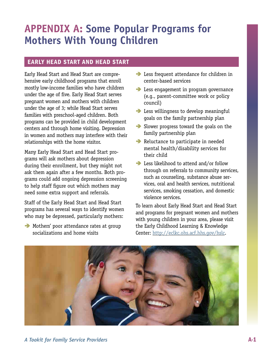## <span id="page-20-0"></span>**APPENDIX A: Some Popular Programs for Mothers With Young Children**

#### eArly heAd stArt And heAd stArt

Early Head Start and Head Start are comprehensive early childhood programs that enroll mostly low-income families who have children under the age of five. Early Head Start serves pregnant women and mothers with children under the age of 3; while Head Start serves families with preschool-aged children. Both programs can be provided in child development centers and through home visiting. Depression in women and mothers may interfere with their relationships with the home visitor.

Many Early Head Start and Head Start programs will ask mothers about depression during their enrollment, but they might not ask them again after a few months. Both programs could add ongoing depression screening to help staff figure out which mothers may need some extra support and referrals.

Staff of the Early Head Start and Head Start programs has several ways to identify women who may be depressed, particularly mothers:

 $\rightarrow$  Mothers' poor attendance rates at group socializations and home visits

- **•** Less frequent attendance for children in center-based services
- **B** Less engagement in program governance (e.g., parent-committee work or policy council)
- **•** Less willingness to develop meaningful goals on the family partnership plan
- Slower progress toward the goals on the family partnership plan
- Reluctance to participate in needed mental health/disability services for their child
- **■** Less likelihood to attend and/or follow through on referrals to community services, such as counseling, substance abuse ser vices, oral and health services, nutritional services, smoking cessation, and domestic violence services.  $\ddot{\phantom{a}}$

To learn about Early Head Start and Head Start and programs for pregnant women and mothers with young children in your area, please visit the Early Childhood Learning & Knowledge Center: [http://eclkc.ohs.acf.hhs.gov/hslc.](http://eclkc.ohs.acf.hhs.gov/hslc)

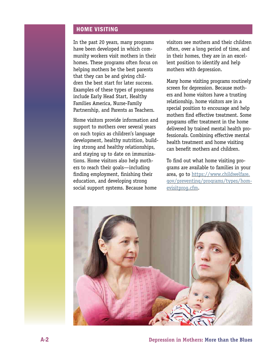#### <span id="page-21-0"></span>home VIsItIng

In the past 20 years, many programs have been developed in which community workers visit mothers in their homes. These programs often focus on helping mothers be the best parents that they can be and giving children the best start for later success. Examples of these types of programs include Early Head Start, Healthy Families America, Nurse-Family Partnership, and Parents as Teachers.

Home visitors provide information and support to mothers over several years on such topics as children's language development, healthy nutrition, building strong and healthy relationships, and staying up to date on immunizations. Home visitors also help mothers to reach their goals—including finding employment, finishing their education, and developing strong social support systems. Because home

visitors see mothers and their children often, over a long period of time, and in their homes, they are in an excellent position to identify and help mothers with depression.

Many home visiting programs routinely screen for depression. Because mothers and home visitors have a trusting relationship, home visitors are in a special position to encourage and help mothers find effective treatment. Some programs offer treatment in the home delivered by trained mental health professionals. Combining effective mental health treatment and home visiting can benefit mothers and children.

To find out what home visiting programs are available to families in your area, go to [https://www.childwelfare.](https://www.childwelfare.gov/preventing/programs/types/homevisitprog.cfm)  [gov/preventing/programs/types/hom](https://www.childwelfare.gov/preventing/programs/types/homevisitprog.cfm)[evisitprog.cfm.](https://www.childwelfare.gov/preventing/programs/types/homevisitprog.cfm)

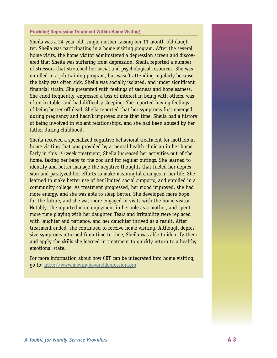#### **Providing Depression Treatment Within Home Visiting**

Sheila was a 24-year-old, single mother raising her 11-month-old daughter. Sheila was participating in a home visiting program. After the several home visits, the home visitor administered a depression screen and discovered that Sheila was suffering from depression. Sheila reported a number of stressors that stretched her social and psychological resources. She was enrolled in a job training program, but wasn't attending regularly because the baby was often sick. Sheila was socially isolated, and under significant financial strain. She presented with feelings of sadness and hopelessness. She cried frequently, expressed a loss of interest in being with others, was often irritable, and had difficulty sleeping. She reported having feelings of being better off dead. Sheila reported that her symptoms first emerged during pregnancy and hadn't improved since that time. Sheila had a history of being involved in violent relationships, and she had been abused by her father during childhood.

Sheila received a specialized cognitive behavioral treatment for mothers in home visiting that was provided by a mental health clinician in her home. Early in this 15-week treatment, Sheila increased her activities out of the home, taking her baby to the zoo and for regular outings. She learned to identify and better manage the negative thoughts that fueled her depression and paralyzed her efforts to make meaningful changes in her life. She learned to make better use of her limited social supports, and enrolled in a community college. As treatment progressed, her mood improved, she had more energy, and she was able to sleep better. She developed more hope for the future, and she was more engaged in visits with the home visitor. Notably, she reported more enjoyment in her role as a mother, and spent more time playing with her daughter. Tears and irritability were replaced with laughter and patience, and her daughter thrived as a result. After treatment ended, she continued to receive home visiting. Although depressive symptoms returned from time to time, Sheila was able to identify them and apply the skills she learned in treatment to quickly return to a healthy emotional state.

For more information about how CBT can be integrated into home visiting, go to: <http://www.movingbeyonddepression.org>.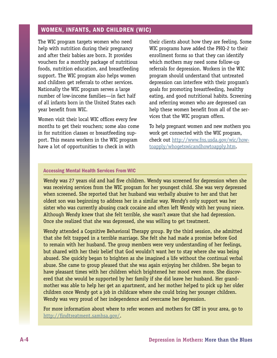#### <span id="page-23-0"></span>WOMEN, INFANTS, AND CHILDREN (WIC)

The WIC program targets women who need help with nutrition during their pregnancy and after their babies are born. It provides vouchers for a monthly package of nutritious foods, nutrition education, and breastfeeding support. The WIC program also helps women and children get referrals to other services. Nationally the WIC program serves a large number of low-income families—in fact half of all infants born in the United States each year benefit from WIC.

Women visit their local WIC offices every few months to get their vouchers; some also come in for nutrition classes or breastfeeding support. This means workers in the WIC program have a lot of opportunities to check in with

their clients about how they are feeling. Some WIC programs have added the PHQ-2 to their enrollment forms so that they can identify which mothers may need some follow-up referrals for depression. Workers in the WIC program should understand that untreated depression can interfere with their program's goals for promoting breastfeeding, healthy eating, and good nutritional habits. Screening and referring women who are depressed can help these women benefit from all of the services that the WIC program offers.

To help pregnant women and new mothers you work get connected with the WIC program, check out [http://www.fns.usda.gov/wic/how](http://www.fns.usda.gov/wic/howtoapply/whogetswicandhowtoapply.htm)[toapply/whogetswicandhowtoapply.htm](http://www.fns.usda.gov/wic/howtoapply/whogetswicandhowtoapply.htm).

#### **Accessing Mental Health Services From WIC**

Wendy was 27 years old and had five children. Wendy was screened for depression when she was receiving services from the WIC program for her youngest child. She was very depressed when screened. She reported that her husband was verbally abusive to her and that her oldest son was beginning to address her in a similar way. Wendy's only support was her sister who was currently abusing crack cocaine and often left Wendy with her young niece. Although Wendy knew that she felt terrible, she wasn't aware that she had depression. Once she realized that she was depressed, she was willing to get treatment.

Wendy attended a Cognitive Behavioral Therapy group. By the third session, she admitted that she felt trapped in a terrible marriage. She felt she had made a promise before God to remain with her husband. The group members were very understanding of her feelings, but shared with her their belief that God wouldn't want her to stay where she was being abused. She quickly began to brighten as she imagined a life without the continual verbal abuse. She came to group pleased that she was again enjoying her children. She began to have pleasant times with her children which brightened her mood even more. She discovered that she would be supported by her family if she did leave her husband. Her grandmother was able to help her get an apartment, and her mother helped to pick up her older children once Wendy got a job in childcare where she could bring her younger children. Wendy was very proud of her independence and overcame her depression.

For more information about where to refer women and mothers for CBT in your area, go to [http://findtreatment.samhsa.gov/.](http://findtreatment.samhsa.gov/)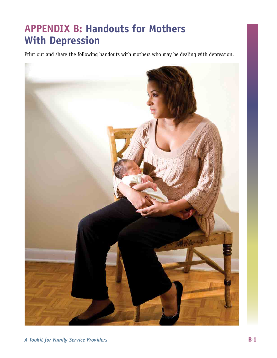## <span id="page-24-0"></span>**APPENDIX B: Handouts for Mothers With Depression**

Print out and share the following handouts with mothers who may be dealing with depression.

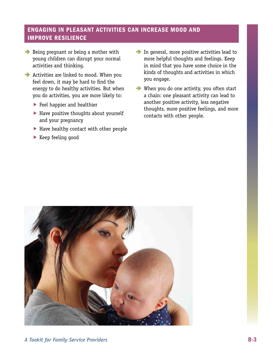#### <span id="page-26-0"></span>**ENGAGING IN PLEASANT ACTIVITIES CAN INCREASE MOOD AND IMPROVE RESILIENCE**

- $\rightarrow$  Being pregnant or being a mother with young children can disrupt your normal activities and thinking.
- $\rightarrow$  Activities are linked to mood. When you feel down, it may be hard to find the energy to do healthy activities. But when you do activities, you are more likely to:
	- Feel happier and healthier
	- Have positive thoughts about yourself and your pregnancy
	- Have healthy contact with other people
	- $\blacktriangleright$  Keep feeling good
- $\blacktriangleright$  In general, more positive activities lead to more helpful thoughts and feelings. Keep in mind that you have some choice in the kinds of thoughts and activities in which you engage.
- $\rightarrow$  When you do one activity, you often start a chain: one pleasant activity can lead to another positive activity, less negative thoughts, more positive feelings, and more contacts with other people.

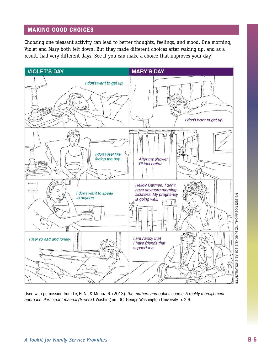#### <span id="page-28-0"></span>**MAKING GOOD CHOICES**

Choosing one pleasant activity can lead to better thoughts, feelings, and mood. One morning, Violet and Mary both felt down. But they made different choices after waking up, and as a result, had very different days. See if you can make a choice that improves your day!



Used with permission from Le, H. N., & Muñoz, R. (2013). *The mothers and babies course: A reality management approach. Participant manual (8 week)*. Washington, DC: George Washington University, p. 2.6.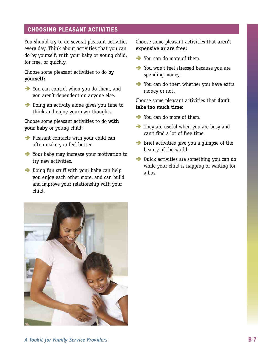#### <span id="page-30-0"></span>**CHOOSING PLEASANT ACTIVITIES**

You should try to do several pleasant activities every day. Think about activities that you can do by yourself, with your baby or young child, for free, or quickly.

Choose some pleasant activities to do **by yourself:** 

- You can control when you do them, and you aren't dependent on anyone else.
- **•** Doing an activity alone gives you time to think and enjoy your own thoughts.

Choose some pleasant activities to do **with your baby** or young child:

- **•** Pleasant contacts with your child can often make you feel better.
- Your baby may increase your motivation to try new activities.
- **•** Doing fun stuff with your baby can help you enjoy each other more, and can build and improve your relationship with your child.

Choose some pleasant activities that **aren't expensive or are free:** 

- You can do more of them.
- You won't feel stressed because you are spending money.
- You can do them whether you have extra money or not.

Choose some pleasant activities that **don't take too much time:** 

- You can do more of them.
- They are useful when you are busy and can't find a lot of free time.
- Brief activities give you a glimpse of the beauty of the world.
- Quick activities are something you can do while your child is napping or waiting for a bus.

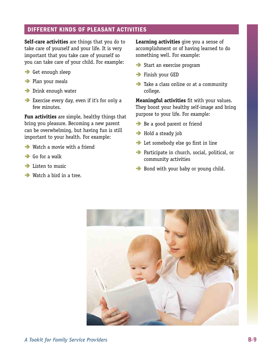#### <span id="page-32-0"></span>dIFFerent kInds oF pleAsAnt ActIVItIes

**Self-care activities** are things that you do to take care of yourself and your life. It is very important that you take care of yourself so you can take care of your child. For example:

- **B** Get enough sleep
- Plan your meals
- **→** Drink enough water
- â Exercise every day, even if it's for only a few minutes.

**Fun activities** are simple, healthy things that bring you pleasure. Becoming a new parent can be overwhelming, but having fun is still important to your health. For example:

- **■** Watch a movie with a friend
- $\rightarrow$  Go for a walk
- $\rightarrow$  Listen to music
- $\rightarrow$  Watch a bird in a tree.

**Learning activities** give you a sense of accomplishment or of having learned to do something well. For example:

- â Start an exercise program
- **Finish your GED**
- Take a class online or at a community college.

**Meaningful activities** fit with your values. They boost your healthy self-image and bring purpose to your life. For example:

- Be a good parent or friend
- **→** Hold a steady job
- **Execute 2 Let somebody else go first in line**
- → Participate in church, social, political, or community activities
- Bond with your baby or young child.

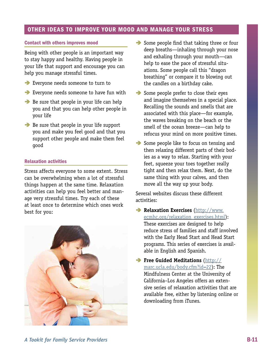#### <span id="page-34-0"></span>OTHER IDEAS TO IMPROVE YOUR MOOD AND MANAGE YOUR STRESS

#### contact with others improves mood

Being with other people is an important way to stay happy and healthy. Having people in your life that support and encourage you can help you manage stressful times.

- â Everyone needs someone to turn to
- â Everyone needs someone to have fun with
- $\rightarrow$  Be sure that people in your life can help you and that you can help other people in your life
- Be sure that people in your life support you and make you feel good and that you support other people and make them feel good

#### **Relaxation activities**

Stress affects everyone to some extent. Stress can be overwhelming when a lot of stressful things happen at the same time. Relaxation activities can help you feel better and manage very stressful times. Try each of these at least once to determine which ones work best for you:



- Some people find that taking three or four deep breaths—inhaling through your nose and exhaling through your mouth—can help to ease the pace of stressful situ ations. Some people call this "dragon breathing" or compare it to blowing out the candles on a birthday cake.  $\ddot{\phantom{0}}$
- Some people prefer to close their eyes and imagine themselves in a special place. Recalling the sounds and smells that are associated with this place—for example, the waves breaking on the beach or the smell of the ocean breeze—can help to refocus your mind on more positive times.
- Some people like to focus on tensing and then relaxing different parts of their bod ies as a way to relax. Starting with your feet, squeeze your toes together really tight and then relax them. Next, do the same thing with your calves, and then move all the way up your body.  $\ddot{\phantom{0}}$

Several websites discuss these different activities:

- â **Relaxation Exercises** [\(http://www.](http://www.ecmhc.org/relaxation_exercises.html)  [ecmhc.org/relaxation\\_exercises.html\)](http://www.ecmhc.org/relaxation_exercises.html): These exercises are designed to help reduce stress of families and staff involved with the Early Head Start and Head Start programs. This series of exercises is avail able in English and Spanish. ĺ
- **Free Guided Meditations** (http:// [marc.ucla.edu/body.cfm?id=22\)](http://marc.ucla.edu/body.cfm?id=22): The Mindfulness Center at the University of California–Los Angeles offers an exten sive series of relaxation activities that are available free, either by listening online or downloading from iTunes.  $\ddot{\phantom{0}}$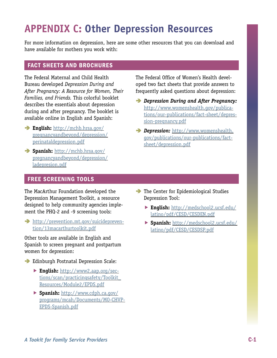## <span id="page-36-0"></span>**APPENDIX C: Other Depression Resources**

For more information on depression, here are some other resources that you can download and have available for mothers you work with:

#### **FACT SHEETS AND BROCHURES**

The Federal Maternal and Child Health Bureau developed Depression During and After Pregnancy: A Resource for Women, Their Families, and Friends. This colorful booklet describes the essentials about depression during and after pregnancy. The booklet is available online in English and Spanish:

- $\rightarrow$  English: http://mchb.hrsa.gov/ pregnancyandbeyond/depression/ perinataldepression.pdf
- $\rightarrow$  Spanish: http://mchb.hrsa.qov/ pregnancyandbeyond/depression/ ladepresion.pdf

The Federal Office of Women's Health developed two fact sheets that provide answers to frequently asked questions about depression:

- Depression During and After Pregnancy: http://www.womenshealth.gov/publications/our-publications/fact-sheet/depression-pregnancy.pdf
- Depression: http://www.womenshealth. qov/publications/our-publications/factsheet/depression.pdf

#### **FREE SCREENING TOOLS**

The MacArthur Foundation developed the Depression Management Toolkit, a resource designed to help community agencies implement the PHQ-2 and -9 screening tools:

 $\rightarrow$  http://prevention.mt.gov/suicideprevention/13macarthurtoolkit.pdf

Other tools are available in English and Spanish to screen pregnant and postpartum women for depression:

- Edinburgh Postnatal Depression Scale:
	- English: http://www2.aap.org/sections/scan/practicingsafety/Toolkit Resources/Module2/EPDS.pdf
	- ▶ Spanish: http://www.cdph.ca.gov/ programs/mcah/Documents/M0-CHVP-EPDS-Spanish.pdf
- $\rightarrow$  The Center for Epidemiological Studies Depression Tool:
	- English: http://medschool2.ucsf.edu/ latino/pdf/CESD/CESDEN.pdf
	- Spanish: http://medschool2.ucsf.edu/ latino/pdf/CESD/CESDSP.pdf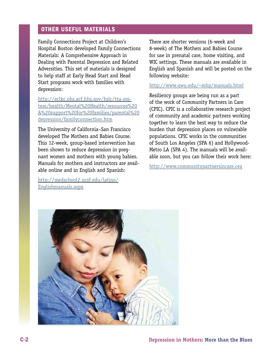#### <span id="page-37-0"></span>OTHER USEFUL MATERIALS

Family Connections Project at Children's Hospital Boston developed Family Connections Materials: A Comprehensive Approach in Dealing with Parental Depression and Related Adversities. This set of materials is designed to help staff at Early Head Start and Head Start programs work with families with depression:

[http://eclkc.ohs.acf.hhs.gov/hslc/tta-sys](http://eclkc.ohs.acf.hhs.gov/hslc/tta-system/health/Mental%2520Health/resources%2520%26%2520support%2520for%2520families/parental%2520depression/familyconnection.htm)[tem/health/Mental%20Health/resources%20](http://eclkc.ohs.acf.hhs.gov/hslc/tta-system/health/Mental%2520Health/resources%2520%26%2520support%2520for%2520families/parental%2520depression/familyconnection.htm)  [&%20support%20for%20families/parental%20](http://eclkc.ohs.acf.hhs.gov/hslc/tta-system/health/Mental%2520Health/resources%2520%26%2520support%2520for%2520families/parental%2520depression/familyconnection.htm) [depression/familyconnection.htm](http://eclkc.ohs.acf.hhs.gov/hslc/tta-system/health/Mental%2520Health/resources%2520%26%2520support%2520for%2520families/parental%2520depression/familyconnection.htm) 

The University of California–San Francisco developed The Mothers and Babies Course. This 12-week, group-based intervention has been shown to reduce depression in pregnant women and mothers with young babies. Manuals for mothers and instructors are available online and in English and Spanish:

[http://medschool2.ucsf.edu/latino/](http://medschool2.ucsf.edu/latino/Englishmanuals.aspx)  [Englishmanuals.aspx](http://medschool2.ucsf.edu/latino/Englishmanuals.aspx) 

There are shorter versions (6-week and 8-week) of The Mothers and Babies Course for use in prenatal care, home visiting, and WIC settings. These manuals are available in English and Spanish and will be posted on the following website:

#### <http://www.gwu.edu/~mbp/manuals.html>

Resiliency groups are being run as a part of the work of Community Partners in Care (CPIC). CPIC is a collaborative research project of community and academic partners working together to learn the best way to reduce the burden that depression places on vulnerable populations. CPIC works in the communities of South Los Angeles (SPA 6) and Hollywood-Metro LA (SPA 4). The manuals will be available soon, but you can follow their work here:

<http://www.communitypartnersincare.org>

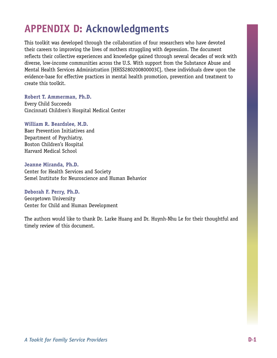## **APPENDIX D: Acknowledgments**

This toolkit was developed through the collaboration of four researchers who have devoted their careers to improving the lives of mothers struggling with depression. The document reflects their collective experiences and knowledge gained through several decades of work with diverse, low-income communities across the U.S. With support from the Substance Abuse and Mental Health Services Administration [HHSS280200800003C], these individuals drew upon the evidence-base for effective practices in mental health promotion, prevention and treatment to create this toolkit.

**Robert T. Ammerman, Ph.D.**  Every Child Succeeds Cincinnati Children's Hospital Medical Center

#### **William R. Beardslee, M.D.**

Baer Prevention Initiatives and Department of Psychiatry, Boston Children's Hospital Harvard Medical School

**Jeanne Miranda, Ph.D.**  Center for Health Services and Society Semel Institute for Neuroscience and Human Behavior

**Deborah F. Perry, Ph.D.**  Georgetown University Center for Child and Human Development

The authors would like to thank Dr. Larke Huang and Dr. Huynh-Nhu Le for their thoughtful and timely review of this document.